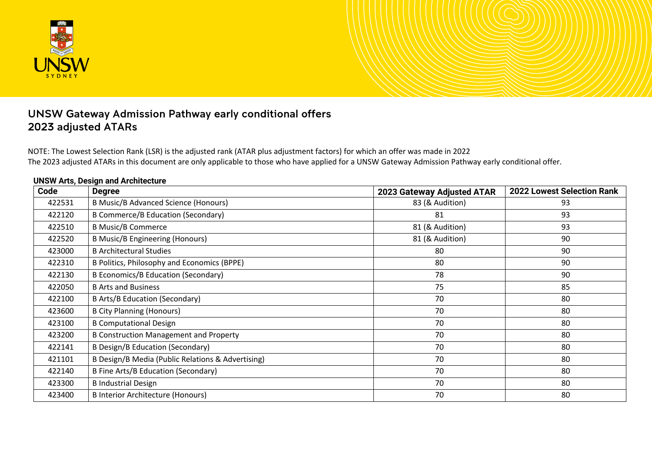

# UNSW Gateway Admission Pathway early conditional offers 2023 adjusted ATARs

NOTE: The Lowest Selection Rank (LSR) is the adjusted rank (ATAR plus adjustment factors) for which an offer was made in 2022 The 2023 adjusted ATARs in this document are only applicable to those who have applied for a UNSW Gateway Admission Pathway early conditional offer.

| Code   | <b>Degree</b>                                     | 2023 Gateway Adjusted ATAR | <b>2022 Lowest Selection Rank</b> |
|--------|---------------------------------------------------|----------------------------|-----------------------------------|
| 422531 | <b>B Music/B Advanced Science (Honours)</b>       | 83 (& Audition)            | 93                                |
| 422120 | <b>B Commerce/B Education (Secondary)</b>         | 81                         | 93                                |
| 422510 | <b>B Music/B Commerce</b>                         | 81 (& Audition)            | 93                                |
| 422520 | <b>B Music/B Engineering (Honours)</b>            | 81 (& Audition)            | 90                                |
| 423000 | <b>B Architectural Studies</b>                    | 80                         | 90                                |
| 422310 | B Politics, Philosophy and Economics (BPPE)       | 80                         | 90                                |
| 422130 | B Economics/B Education (Secondary)               | 78                         | 90                                |
| 422050 | <b>B Arts and Business</b>                        | 75                         | 85                                |
| 422100 | <b>B Arts/B Education (Secondary)</b>             | 70                         | 80                                |
| 423600 | <b>B City Planning (Honours)</b>                  | 70                         | 80                                |
| 423100 | <b>B Computational Design</b>                     | 70                         | 80                                |
| 423200 | <b>B Construction Management and Property</b>     | 70                         | 80                                |
| 422141 | <b>B Design/B Education (Secondary)</b>           | 70                         | 80                                |
| 421101 | B Design/B Media (Public Relations & Advertising) | 70                         | 80                                |
| 422140 | B Fine Arts/B Education (Secondary)               | 70                         | 80                                |
| 423300 | <b>B</b> Industrial Design                        | 70                         | 80                                |
| 423400 | <b>B Interior Architecture (Honours)</b>          | 70                         | 80                                |

#### **UNSW Arts, Design and Architecture**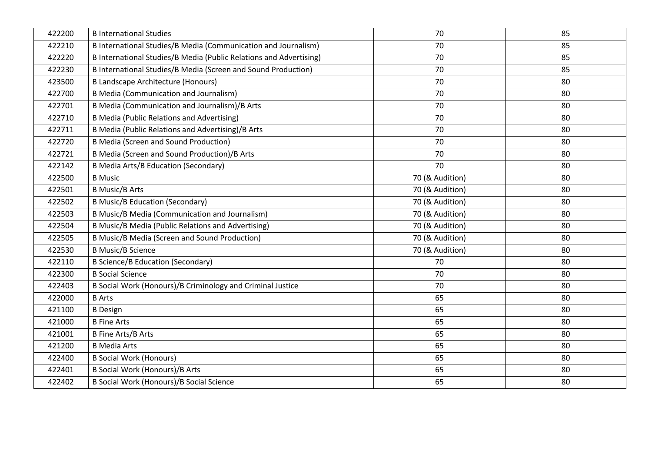| 422200 | <b>B</b> International Studies                                     | 70              | 85 |
|--------|--------------------------------------------------------------------|-----------------|----|
| 422210 | B International Studies/B Media (Communication and Journalism)     | 70              | 85 |
| 422220 | B International Studies/B Media (Public Relations and Advertising) | 70              | 85 |
| 422230 | B International Studies/B Media (Screen and Sound Production)      | 70              | 85 |
| 423500 | B Landscape Architecture (Honours)                                 | 70              | 80 |
| 422700 | <b>B Media (Communication and Journalism)</b>                      | 70              | 80 |
| 422701 | B Media (Communication and Journalism)/B Arts                      | 70              | 80 |
| 422710 | <b>B Media (Public Relations and Advertising)</b>                  | 70              | 80 |
| 422711 | B Media (Public Relations and Advertising)/B Arts                  | 70              | 80 |
| 422720 | <b>B Media (Screen and Sound Production)</b>                       | 70              | 80 |
| 422721 | B Media (Screen and Sound Production)/B Arts                       | 70              | 80 |
| 422142 | <b>B Media Arts/B Education (Secondary)</b>                        | 70              | 80 |
| 422500 | <b>B</b> Music                                                     | 70 (& Audition) | 80 |
| 422501 | <b>B Music/B Arts</b>                                              | 70 (& Audition) | 80 |
| 422502 | <b>B Music/B Education (Secondary)</b>                             | 70 (& Audition) | 80 |
| 422503 | <b>B Music/B Media (Communication and Journalism)</b>              | 70 (& Audition) | 80 |
| 422504 | B Music/B Media (Public Relations and Advertising)                 | 70 (& Audition) | 80 |
| 422505 | <b>B Music/B Media (Screen and Sound Production)</b>               | 70 (& Audition) | 80 |
| 422530 | <b>B Music/B Science</b>                                           | 70 (& Audition) | 80 |
| 422110 | <b>B Science/B Education (Secondary)</b>                           | 70              | 80 |
| 422300 | <b>B Social Science</b>                                            | 70              | 80 |
| 422403 | B Social Work (Honours)/B Criminology and Criminal Justice         | 70              | 80 |
| 422000 | <b>B</b> Arts                                                      | 65              | 80 |
| 421100 | <b>B</b> Design                                                    | 65              | 80 |
| 421000 | <b>B</b> Fine Arts                                                 | 65              | 80 |
| 421001 | <b>B Fine Arts/B Arts</b>                                          | 65              | 80 |
| 421200 | <b>B Media Arts</b>                                                | 65              | 80 |
| 422400 | <b>B Social Work (Honours)</b>                                     | 65              | 80 |
| 422401 | <b>B Social Work (Honours)/B Arts</b>                              | 65              | 80 |
| 422402 | B Social Work (Honours)/B Social Science                           | 65              | 80 |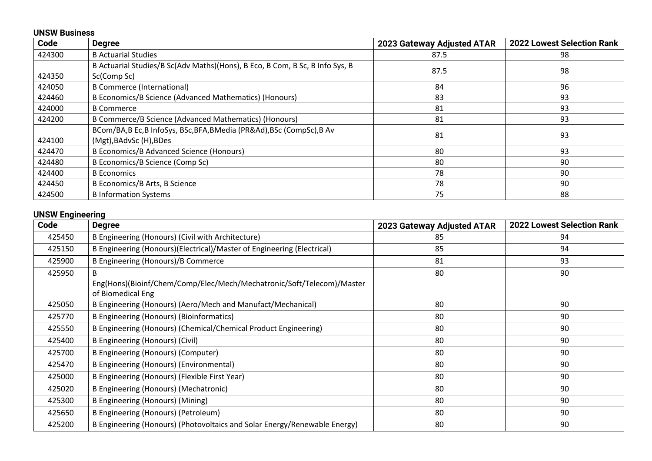|        | <b>UNSW Business</b>                                                                        |                            |                                   |  |
|--------|---------------------------------------------------------------------------------------------|----------------------------|-----------------------------------|--|
| Code   | <b>Degree</b>                                                                               | 2023 Gateway Adjusted ATAR | <b>2022 Lowest Selection Rank</b> |  |
| 424300 | <b>B</b> Actuarial Studies                                                                  | 87.5                       | 98                                |  |
| 424350 | B Actuarial Studies/B Sc(Adv Maths)(Hons), B Eco, B Com, B Sc, B Info Sys, B<br>Sc(Comp Sc) | 87.5                       | 98                                |  |
| 424050 | <b>B Commerce (International)</b>                                                           | 84                         | 96                                |  |
| 424460 | B Economics/B Science (Advanced Mathematics) (Honours)                                      | 83                         | 93                                |  |
| 424000 | <b>B</b> Commerce                                                                           | 81                         | 93                                |  |
| 424200 | B Commerce/B Science (Advanced Mathematics) (Honours)                                       | 81                         | 93                                |  |
| 424100 | BCom/BA,B Ec,B InfoSys, BSc,BFA,BMedia (PR&Ad),BSc (CompSc),B Av<br>(Mgt), BAdvSc (H), BDes | 81                         | 93                                |  |
| 424470 | <b>B Economics/B Advanced Science (Honours)</b>                                             | 80                         | 93                                |  |
| 424480 | B Economics/B Science (Comp Sc)                                                             | 80                         | 90                                |  |
| 424400 | <b>B</b> Economics                                                                          | 78                         | 90                                |  |
| 424450 | B Economics/B Arts, B Science                                                               | 78                         | 90                                |  |
| 424500 | <b>B Information Systems</b>                                                                | 75                         | 88                                |  |

### **UNSW Engineering**

| --- <i>--</i> -------<br>Code | <b>Degree</b>                                                                              | 2023 Gateway Adjusted ATAR | <b>2022 Lowest Selection Rank</b> |
|-------------------------------|--------------------------------------------------------------------------------------------|----------------------------|-----------------------------------|
| 425450                        | B Engineering (Honours) (Civil with Architecture)                                          | 85                         | 94                                |
| 425150                        | B Engineering (Honours)(Electrical)/Master of Engineering (Electrical)                     | 85                         | 94                                |
| 425900                        | B Engineering (Honours)/B Commerce                                                         | 81                         | 93                                |
| 425950                        | Eng(Hons)(Bioinf/Chem/Comp/Elec/Mech/Mechatronic/Soft/Telecom)/Master<br>of Biomedical Eng | 80                         | 90                                |
| 425050                        | B Engineering (Honours) (Aero/Mech and Manufact/Mechanical)                                | 80                         | 90                                |
| 425770                        | <b>B Engineering (Honours) (Bioinformatics)</b>                                            | 80                         | 90                                |
| 425550                        | B Engineering (Honours) (Chemical/Chemical Product Engineering)                            | 80                         | 90                                |
| 425400                        | B Engineering (Honours) (Civil)                                                            | 80                         | 90                                |
| 425700                        | B Engineering (Honours) (Computer)                                                         | 80                         | 90                                |
| 425470                        | B Engineering (Honours) (Environmental)                                                    | 80                         | 90                                |
| 425000                        | B Engineering (Honours) (Flexible First Year)                                              | 80                         | 90                                |
| 425020                        | B Engineering (Honours) (Mechatronic)                                                      | 80                         | 90                                |
| 425300                        | B Engineering (Honours) (Mining)                                                           | 80                         | 90                                |
| 425650                        | B Engineering (Honours) (Petroleum)                                                        | 80                         | 90                                |
| 425200                        | B Engineering (Honours) (Photovoltaics and Solar Energy/Renewable Energy)                  | 80                         | 90                                |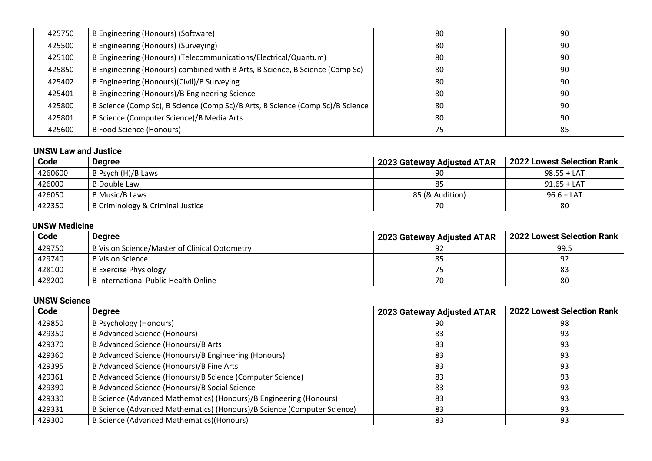| 425750 | B Engineering (Honours) (Software)                                             | 80 | 90 |
|--------|--------------------------------------------------------------------------------|----|----|
| 425500 | B Engineering (Honours) (Surveying)                                            | 80 | 90 |
| 425100 | B Engineering (Honours) (Telecommunications/Electrical/Quantum)                | 80 | 90 |
| 425850 | B Engineering (Honours) combined with B Arts, B Science, B Science (Comp Sc)   | 80 | 90 |
| 425402 | B Engineering (Honours)(Civil)/B Surveying                                     | 80 | 90 |
| 425401 | B Engineering (Honours)/B Engineering Science                                  | 80 | 90 |
| 425800 | B Science (Comp Sc), B Science (Comp Sc)/B Arts, B Science (Comp Sc)/B Science | 80 | 90 |
| 425801 | B Science (Computer Science)/B Media Arts                                      | 80 | 90 |
| 425600 | <b>B Food Science (Honours)</b>                                                | 75 | 85 |

### **UNSW Law and Justice**

| Code    | <b>Degree</b>                    | 2023 Gateway Adjusted ATAR | 2022 Lowest Selection Rank |
|---------|----------------------------------|----------------------------|----------------------------|
| 4260600 | B Psych (H)/B Laws               | 90                         | $98.55 + LAT$              |
| 426000  | B Double Law                     | 85                         | $91.65 + LAT$              |
| 426050  | B Music/B Laws                   | 85 (& Audition)            | $96.6 + LAT$               |
| 422350  | B Criminology & Criminal Justice | 70                         | 80                         |

## **UNSW Medicine**

| Code   | Degree                                                     | <b>2023 Gateway Adjusted ATAR</b> | 2022 Lowest Selection Rank |
|--------|------------------------------------------------------------|-----------------------------------|----------------------------|
| 429750 | <sup>1</sup> B Vision Science/Master of Clinical Optometry | 92                                | 99.5                       |
| 429740 | B Vision Science                                           |                                   |                            |
| 428100 | <b>B Exercise Physiology</b>                               |                                   |                            |
| 428200 | B International Public Health Online                       | 70                                | 80                         |

## **UNSW Science**

| Code   | <b>Degree</b>                                                           | 2023 Gateway Adjusted ATAR | <b>2022 Lowest Selection Rank</b> |
|--------|-------------------------------------------------------------------------|----------------------------|-----------------------------------|
| 429850 | <b>B Psychology (Honours)</b>                                           | 90                         | 98                                |
| 429350 | <b>B Advanced Science (Honours)</b>                                     | 83                         | 93                                |
| 429370 | B Advanced Science (Honours)/B Arts                                     | 83                         | 93                                |
| 429360 | B Advanced Science (Honours)/B Engineering (Honours)                    | 83                         | 93                                |
| 429395 | B Advanced Science (Honours)/B Fine Arts                                | 83                         | 93                                |
| 429361 | B Advanced Science (Honours)/B Science (Computer Science)               | 83                         | 93                                |
| 429390 | B Advanced Science (Honours)/B Social Science                           | 83                         | 93                                |
| 429330 | B Science (Advanced Mathematics) (Honours)/B Engineering (Honours)      | 83                         | 93                                |
| 429331 | B Science (Advanced Mathematics) (Honours)/B Science (Computer Science) | 83                         | 93                                |
| 429300 | B Science (Advanced Mathematics) (Honours)                              | 83                         | 93                                |